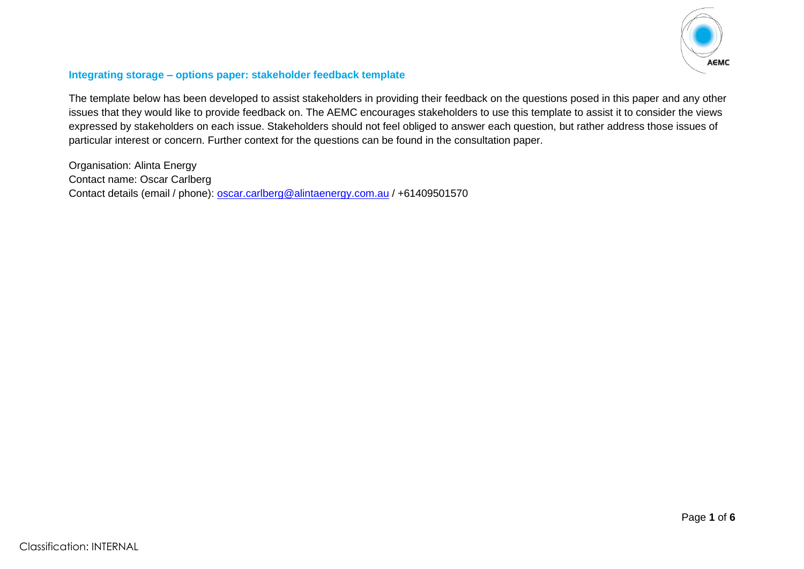

## **Integrating storage – options paper: stakeholder feedback template**

The template below has been developed to assist stakeholders in providing their feedback on the questions posed in this paper and any other issues that they would like to provide feedback on. The AEMC encourages stakeholders to use this template to assist it to consider the views expressed by stakeholders on each issue. Stakeholders should not feel obliged to answer each question, but rather address those issues of particular interest or concern. Further context for the questions can be found in the consultation paper.

Organisation: Alinta Energy Contact name: Oscar Carlberg Contact details (email / phone): [oscar.carlberg@alintaenergy.com.au](mailto:oscar.carlberg@alintaenergy.com.au) / +61409501570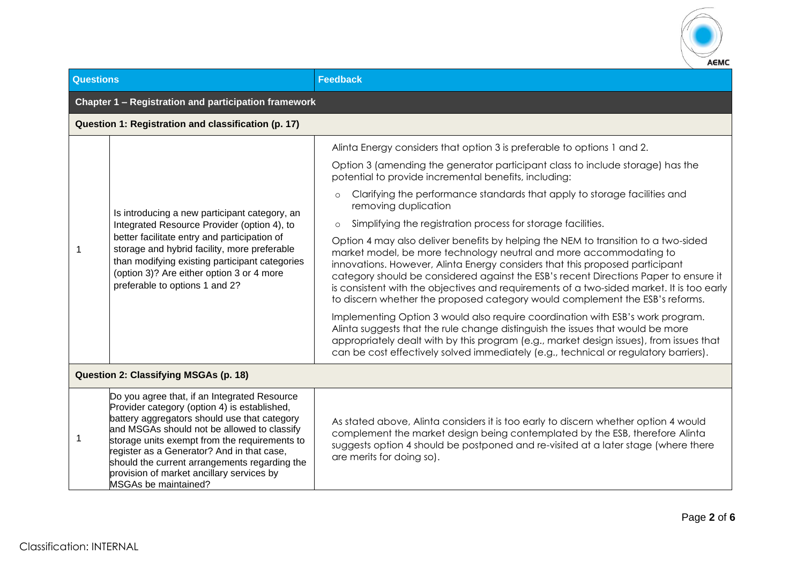

| <b>Questions</b>                                     |                                                                                                                                                                                                                                                                                                                                                                                                                  | <b>Feedback</b>                                                                                                                                                                                                                                                                                                                                                                                                                                                                                                                                                                                                                                                                                                                                                                                                                                                                                                                                                                                                                                                                                                                                                                                                                                                                       |  |  |  |  |
|------------------------------------------------------|------------------------------------------------------------------------------------------------------------------------------------------------------------------------------------------------------------------------------------------------------------------------------------------------------------------------------------------------------------------------------------------------------------------|---------------------------------------------------------------------------------------------------------------------------------------------------------------------------------------------------------------------------------------------------------------------------------------------------------------------------------------------------------------------------------------------------------------------------------------------------------------------------------------------------------------------------------------------------------------------------------------------------------------------------------------------------------------------------------------------------------------------------------------------------------------------------------------------------------------------------------------------------------------------------------------------------------------------------------------------------------------------------------------------------------------------------------------------------------------------------------------------------------------------------------------------------------------------------------------------------------------------------------------------------------------------------------------|--|--|--|--|
| Chapter 1 - Registration and participation framework |                                                                                                                                                                                                                                                                                                                                                                                                                  |                                                                                                                                                                                                                                                                                                                                                                                                                                                                                                                                                                                                                                                                                                                                                                                                                                                                                                                                                                                                                                                                                                                                                                                                                                                                                       |  |  |  |  |
|                                                      | Question 1: Registration and classification (p. 17)                                                                                                                                                                                                                                                                                                                                                              |                                                                                                                                                                                                                                                                                                                                                                                                                                                                                                                                                                                                                                                                                                                                                                                                                                                                                                                                                                                                                                                                                                                                                                                                                                                                                       |  |  |  |  |
|                                                      | Is introducing a new participant category, an<br>Integrated Resource Provider (option 4), to<br>better facilitate entry and participation of<br>storage and hybrid facility, more preferable<br>than modifying existing participant categories<br>(option 3)? Are either option 3 or 4 more<br>preferable to options 1 and 2?                                                                                    | Alinta Energy considers that option 3 is preferable to options 1 and 2.<br>Option 3 (amending the generator participant class to include storage) has the<br>potential to provide incremental benefits, including:<br>Clarifying the performance standards that apply to storage facilities and<br>$\circ$<br>removing duplication<br>Simplifying the registration process for storage facilities.<br>$\circ$<br>Option 4 may also deliver benefits by helping the NEM to transition to a two-sided<br>market model, be more technology neutral and more accommodating to<br>innovations. However, Alinta Energy considers that this proposed participant<br>category should be considered against the ESB's recent Directions Paper to ensure it<br>is consistent with the objectives and requirements of a two-sided market. It is too early<br>to discern whether the proposed category would complement the ESB's reforms.<br>Implementing Option 3 would also require coordination with ESB's work program.<br>Alinta suggests that the rule change distinguish the issues that would be more<br>appropriately dealt with by this program (e.g., market design issues), from issues that<br>can be cost effectively solved immediately (e.g., technical or regulatory barriers). |  |  |  |  |
| Question 2: Classifying MSGAs (p. 18)                |                                                                                                                                                                                                                                                                                                                                                                                                                  |                                                                                                                                                                                                                                                                                                                                                                                                                                                                                                                                                                                                                                                                                                                                                                                                                                                                                                                                                                                                                                                                                                                                                                                                                                                                                       |  |  |  |  |
| 1                                                    | Do you agree that, if an Integrated Resource<br>Provider category (option 4) is established,<br>battery aggregators should use that category<br>and MSGAs should not be allowed to classify<br>storage units exempt from the requirements to<br>register as a Generator? And in that case,<br>should the current arrangements regarding the<br>provision of market ancillary services by<br>MSGAs be maintained? | As stated above, Alinta considers it is too early to discern whether option 4 would<br>complement the market design being contemplated by the ESB, therefore Alinta<br>suggests option 4 should be postponed and re-visited at a later stage (where there<br>are merits for doing so).                                                                                                                                                                                                                                                                                                                                                                                                                                                                                                                                                                                                                                                                                                                                                                                                                                                                                                                                                                                                |  |  |  |  |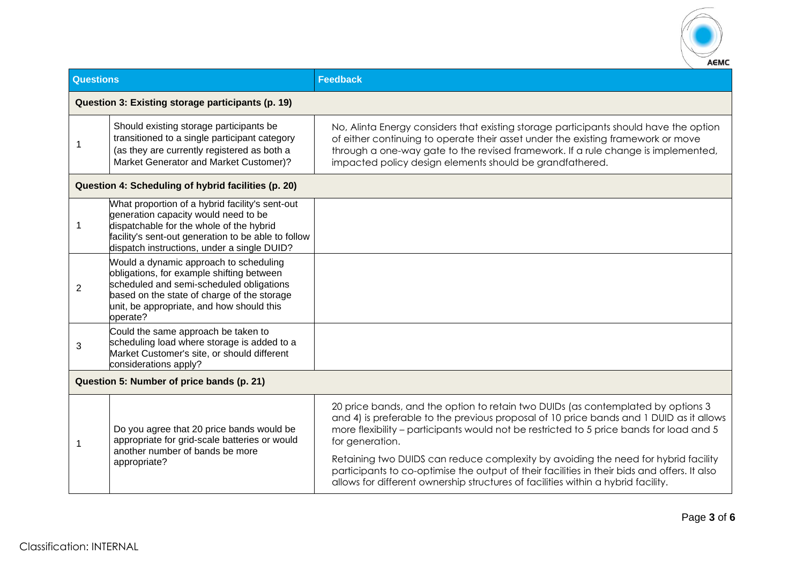

| <b>Questions</b>                                  |                                                                                                                                                                                                                                           | <b>Feedback</b>                                                                                                                                                                                                                                                                                                            |  |
|---------------------------------------------------|-------------------------------------------------------------------------------------------------------------------------------------------------------------------------------------------------------------------------------------------|----------------------------------------------------------------------------------------------------------------------------------------------------------------------------------------------------------------------------------------------------------------------------------------------------------------------------|--|
| Question 3: Existing storage participants (p. 19) |                                                                                                                                                                                                                                           |                                                                                                                                                                                                                                                                                                                            |  |
| 1                                                 | Should existing storage participants be<br>transitioned to a single participant category<br>(as they are currently registered as both a<br>Market Generator and Market Customer)?                                                         | No, Alinta Energy considers that existing storage participants should have the option<br>of either continuing to operate their asset under the existing framework or move<br>through a one-way gate to the revised framework. If a rule change is implemented,<br>impacted policy design elements should be grandfathered. |  |
|                                                   | Question 4: Scheduling of hybrid facilities (p. 20)                                                                                                                                                                                       |                                                                                                                                                                                                                                                                                                                            |  |
| $\mathbf 1$                                       | What proportion of a hybrid facility's sent-out<br>generation capacity would need to be<br>dispatchable for the whole of the hybrid<br>facility's sent-out generation to be able to follow<br>dispatch instructions, under a single DUID? |                                                                                                                                                                                                                                                                                                                            |  |
| 2                                                 | Would a dynamic approach to scheduling<br>obligations, for example shifting between<br>scheduled and semi-scheduled obligations<br>based on the state of charge of the storage<br>unit, be appropriate, and how should this<br>operate?   |                                                                                                                                                                                                                                                                                                                            |  |
| 3                                                 | Could the same approach be taken to<br>scheduling load where storage is added to a<br>Market Customer's site, or should different<br>considerations apply?                                                                                |                                                                                                                                                                                                                                                                                                                            |  |
| Question 5: Number of price bands (p. 21)         |                                                                                                                                                                                                                                           |                                                                                                                                                                                                                                                                                                                            |  |
| 1                                                 | Do you agree that 20 price bands would be<br>appropriate for grid-scale batteries or would<br>another number of bands be more<br>appropriate?                                                                                             | 20 price bands, and the option to retain two DUIDs (as contemplated by options 3<br>and 4) is preferable to the previous proposal of 10 price bands and 1 DUID as it allows<br>more flexibility – participants would not be restricted to 5 price bands for load and 5<br>for generation.                                  |  |
|                                                   |                                                                                                                                                                                                                                           | Retaining two DUIDS can reduce complexity by avoiding the need for hybrid facility<br>participants to co-optimise the output of their facilities in their bids and offers. It also<br>allows for different ownership structures of facilities within a hybrid facility.                                                    |  |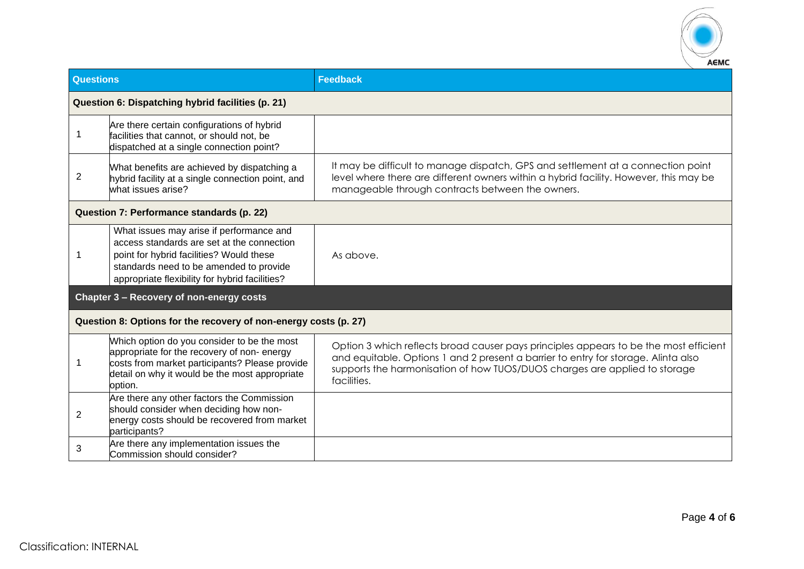

| <b>Questions</b>                                                 |                                                                                                                                                                                                                                 | <b>Feedback</b>                                                                                                                                                                                                                                                          |  |
|------------------------------------------------------------------|---------------------------------------------------------------------------------------------------------------------------------------------------------------------------------------------------------------------------------|--------------------------------------------------------------------------------------------------------------------------------------------------------------------------------------------------------------------------------------------------------------------------|--|
| Question 6: Dispatching hybrid facilities (p. 21)                |                                                                                                                                                                                                                                 |                                                                                                                                                                                                                                                                          |  |
| 1                                                                | Are there certain configurations of hybrid<br>facilities that cannot, or should not, be<br>dispatched at a single connection point?                                                                                             |                                                                                                                                                                                                                                                                          |  |
| $\overline{2}$                                                   | What benefits are achieved by dispatching a<br>hybrid facility at a single connection point, and<br>what issues arise?                                                                                                          | It may be difficult to manage dispatch, GPS and settlement at a connection point<br>level where there are different owners within a hybrid facility. However, this may be<br>manageable through contracts between the owners.                                            |  |
| Question 7: Performance standards (p. 22)                        |                                                                                                                                                                                                                                 |                                                                                                                                                                                                                                                                          |  |
| -1                                                               | What issues may arise if performance and<br>access standards are set at the connection<br>point for hybrid facilities? Would these<br>standards need to be amended to provide<br>appropriate flexibility for hybrid facilities? | As above.                                                                                                                                                                                                                                                                |  |
|                                                                  | Chapter 3 - Recovery of non-energy costs                                                                                                                                                                                        |                                                                                                                                                                                                                                                                          |  |
| Question 8: Options for the recovery of non-energy costs (p. 27) |                                                                                                                                                                                                                                 |                                                                                                                                                                                                                                                                          |  |
| 1                                                                | Which option do you consider to be the most<br>appropriate for the recovery of non-energy<br>costs from market participants? Please provide<br>detail on why it would be the most appropriate<br>option.                        | Option 3 which reflects broad causer pays principles appears to be the most efficient<br>and equitable. Options 1 and 2 present a barrier to entry for storage. Alinta also<br>supports the harmonisation of how TUOS/DUOS charges are applied to storage<br>facilities. |  |
| $\overline{2}$                                                   | Are there any other factors the Commission<br>should consider when deciding how non-<br>energy costs should be recovered from market<br>participants?                                                                           |                                                                                                                                                                                                                                                                          |  |
| 3                                                                | Are there any implementation issues the<br>Commission should consider?                                                                                                                                                          |                                                                                                                                                                                                                                                                          |  |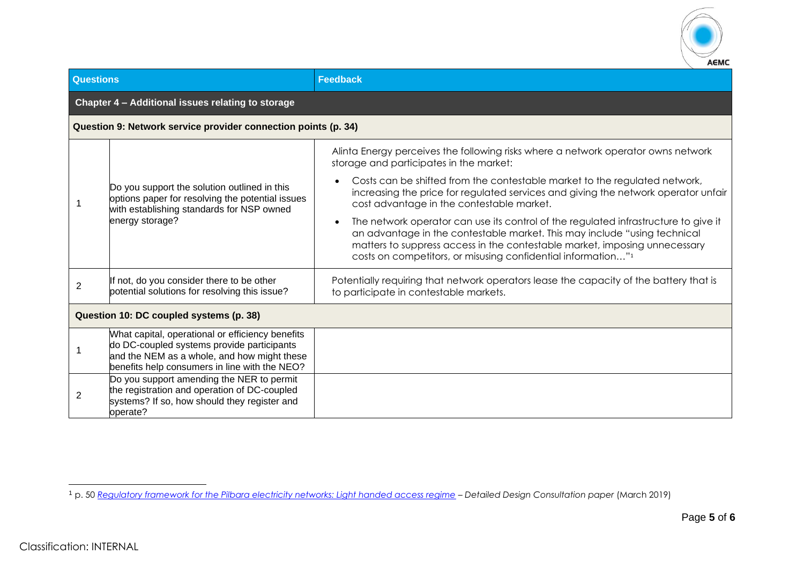

| <b>Questions</b>                                               |                                                                                                                                                                                                | <b>Feedback</b>                                                                                                                                                                                                                                                                                                            |  |  |  |
|----------------------------------------------------------------|------------------------------------------------------------------------------------------------------------------------------------------------------------------------------------------------|----------------------------------------------------------------------------------------------------------------------------------------------------------------------------------------------------------------------------------------------------------------------------------------------------------------------------|--|--|--|
|                                                                | Chapter 4 - Additional issues relating to storage                                                                                                                                              |                                                                                                                                                                                                                                                                                                                            |  |  |  |
| Question 9: Network service provider connection points (p. 34) |                                                                                                                                                                                                |                                                                                                                                                                                                                                                                                                                            |  |  |  |
|                                                                | Do you support the solution outlined in this<br>options paper for resolving the potential issues<br>with establishing standards for NSP owned<br>energy storage?                               | Alinta Energy perceives the following risks where a network operator owns network<br>storage and participates in the market:                                                                                                                                                                                               |  |  |  |
|                                                                |                                                                                                                                                                                                | Costs can be shifted from the contestable market to the regulated network,<br>increasing the price for regulated services and giving the network operator unfair<br>cost advantage in the contestable market.                                                                                                              |  |  |  |
|                                                                |                                                                                                                                                                                                | The network operator can use its control of the regulated infrastructure to give it<br>an advantage in the contestable market. This may include "using technical<br>matters to suppress access in the contestable market, imposing unnecessary<br>costs on competitors, or misusing confidential information" <sup>1</sup> |  |  |  |
| $\overline{2}$                                                 | If not, do you consider there to be other<br>potential solutions for resolving this issue?                                                                                                     | Potentially requiring that network operators lease the capacity of the battery that is<br>to participate in contestable markets.                                                                                                                                                                                           |  |  |  |
| Question 10: DC coupled systems (p. 38)                        |                                                                                                                                                                                                |                                                                                                                                                                                                                                                                                                                            |  |  |  |
|                                                                | What capital, operational or efficiency benefits<br>do DC-coupled systems provide participants<br>and the NEM as a whole, and how might these<br>benefits help consumers in line with the NEO? |                                                                                                                                                                                                                                                                                                                            |  |  |  |
| 2                                                              | Do you support amending the NER to permit<br>the registration and operation of DC-coupled<br>systems? If so, how should they register and<br>operate?                                          |                                                                                                                                                                                                                                                                                                                            |  |  |  |

<sup>1</sup> p. 50 *[Regulatory framework for the Pilbara electricity networks: Light handed access regime](https://www.wa.gov.au/sites/default/files/2019-08/Detailed-Design-Consultation-Paper-Light-Handed-Access-Regime_0.pdf) – Detailed Design Consultation paper* (March 2019)